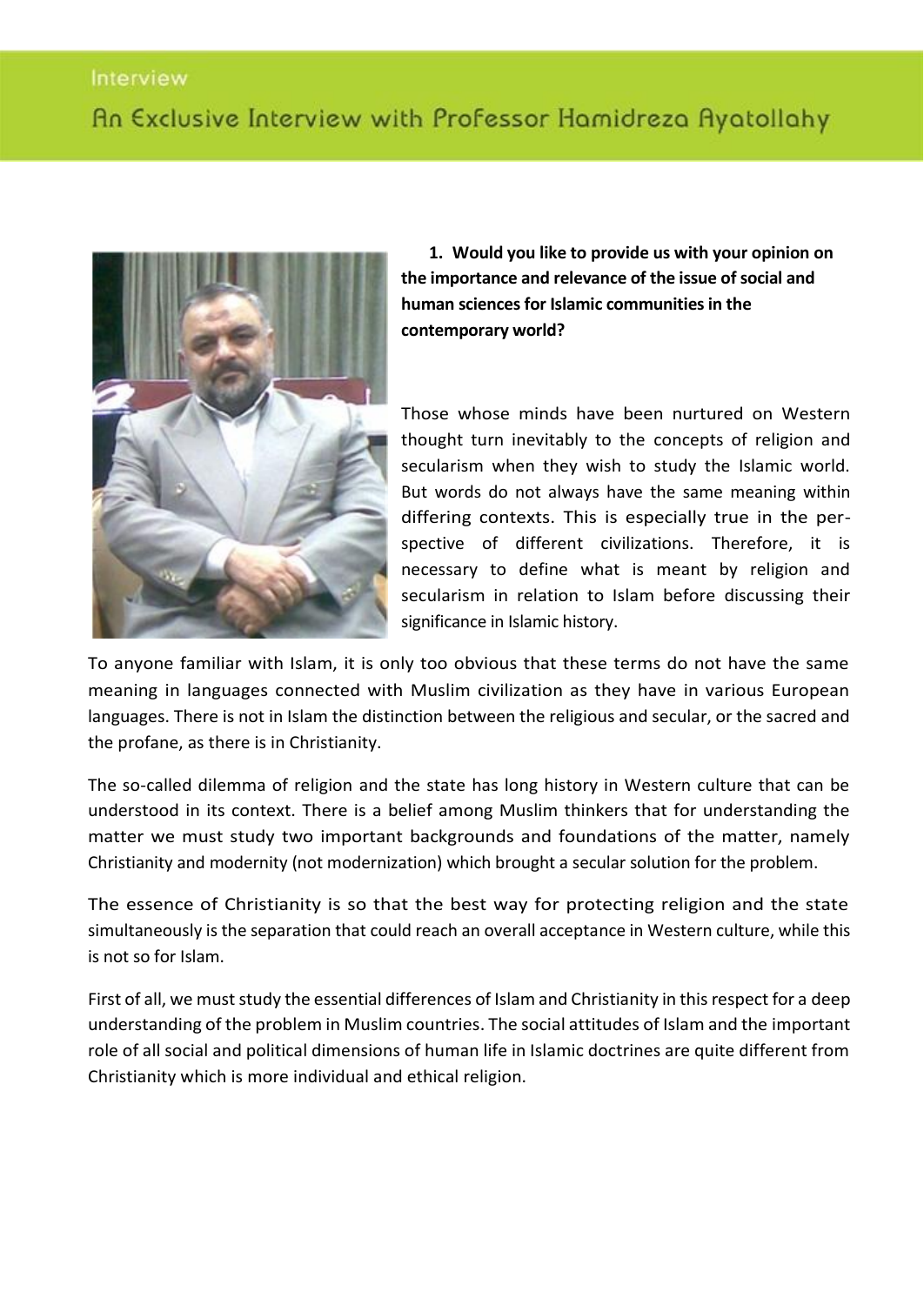#### Interview

# An Exclusive Interview with Professor Hamidreza Ayatollahy



**1. Would you like to provide us with your opinion on the importance and relevance of the issue of social and human sciences for Islamic communities in the contemporary world?** 

Those whose minds have been nurtured on Western thought turn inevitably to the concepts of religion and secularism when they wish to study the Islamic world. But words do not always have the same meaning within differing contexts. This is especially true in the perspective of different civilizations. Therefore, it is necessary to define what is meant by religion and secularism in relation to Islam before discussing their significance in Islamic history.

To anyone familiar with Islam, it is only too obvious that these terms do not have the same meaning in languages connected with Muslim civilization as they have in various European languages. There is not in Islam the distinction between the religious and secular, or the sacred and the profane, as there is in Christianity.

The so-called dilemma of religion and the state has long history in Western culture that can be understood in its context. There is a belief among Muslim thinkers that for understanding the matter we must study two important backgrounds and foundations of the matter, namely Christianity and modernity (not modernization) which brought a secular solution for the problem.

The essence of Christianity is so that the best way for protecting religion and the state simultaneously is the separation that could reach an overall acceptance in Western culture, while this is not so for Islam.

First of all, we must study the essential differences of Islam and Christianity in this respect for a deep understanding of the problem in Muslim countries. The social attitudes of Islam and the important role of all social and political dimensions of human life in Islamic doctrines are quite different from Christianity which is more individual and ethical religion.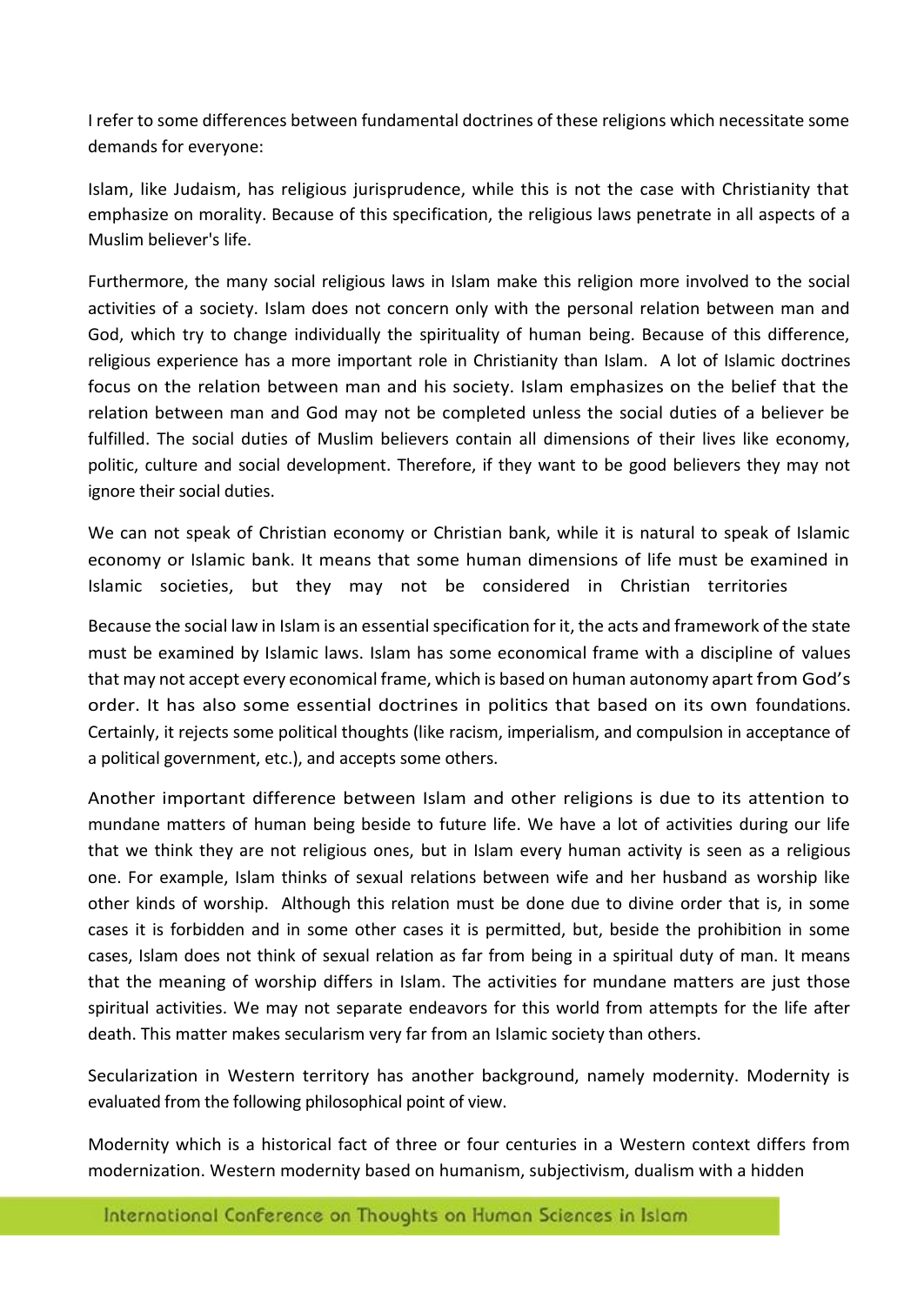I refer to some differences between fundamental doctrines of these religions which necessitate some demands for everyone:

Islam, like Judaism, has religious jurisprudence, while this is not the case with Christianity that emphasize on morality. Because of this specification, the religious laws penetrate in all aspects of a Muslim believer's life.

Furthermore, the many social religious laws in Islam make this religion more involved to the social activities of a society. Islam does not concern only with the personal relation between man and God, which try to change individually the spirituality of human being. Because of this difference, religious experience has a more important role in Christianity than Islam. A lot of Islamic doctrines focus on the relation between man and his society. Islam emphasizes on the belief that the relation between man and God may not be completed unless the social duties of a believer be fulfilled. The social duties of Muslim believers contain all dimensions of their lives like economy, politic, culture and social development. Therefore, if they want to be good believers they may not ignore their social duties.

We can not speak of Christian economy or Christian bank, while it is natural to speak of Islamic economy or Islamic bank. It means that some human dimensions of life must be examined in Islamic societies, but they may not be considered in Christian territories

Because the social law in Islam is an essential specification for it, the acts and framework of the state must be examined by Islamic laws. Islam has some economical frame with a discipline of values that may not accept every economical frame, which is based on human autonomy apart from God's order. It has also some essential doctrines in politics that based on its own foundations. Certainly, it rejects some political thoughts (like racism, imperialism, and compulsion in acceptance of a political government, etc.), and accepts some others.

Another important difference between Islam and other religions is due to its attention to mundane matters of human being beside to future life. We have a lot of activities during our life that we think they are not religious ones, but in Islam every human activity is seen as a religious one. For example, Islam thinks of sexual relations between wife and her husband as worship like other kinds of worship. Although this relation must be done due to divine order that is, in some cases it is forbidden and in some other cases it is permitted, but, beside the prohibition in some cases, Islam does not think of sexual relation as far from being in a spiritual duty of man. It means that the meaning of worship differs in Islam. The activities for mundane matters are just those spiritual activities. We may not separate endeavors for this world from attempts for the life after death. This matter makes secularism very far from an Islamic society than others.

Secularization in Western territory has another background, namely modernity. Modernity is evaluated from the following philosophical point of view.

Modernity which is a historical fact of three or four centuries in a Western context differs from modernization. Western modernity based on humanism, subjectivism, dualism with a hidden

International Conference on Thoughts on Human Sciences in Islam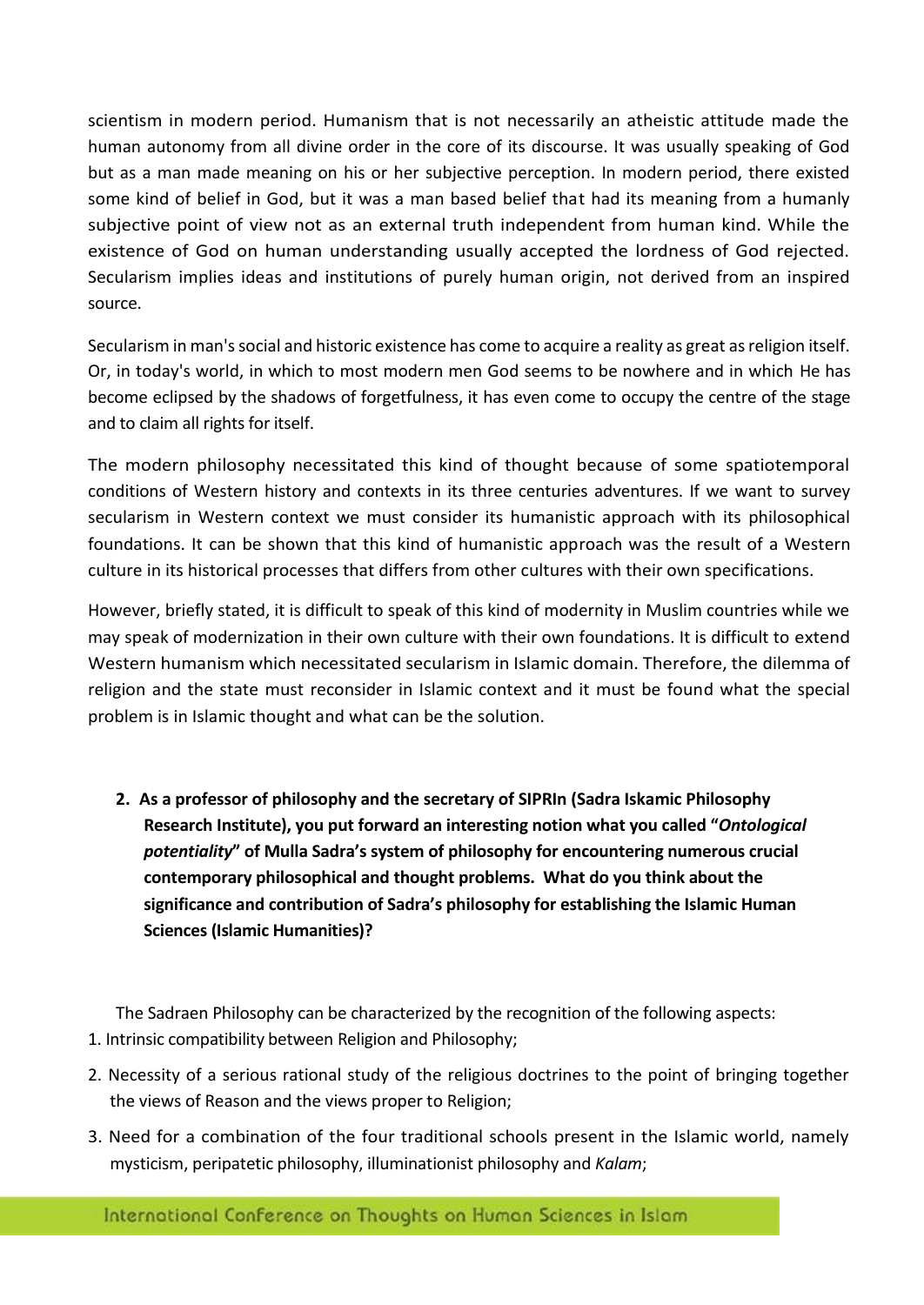scientism in modern period. Humanism that is not necessarily an atheistic attitude made the human autonomy from all divine order in the core of its discourse. It was usually speaking of God but as a man made meaning on his or her subjective perception. In modern period, there existed some kind of belief in God, but it was a man based belief that had its meaning from a humanly subjective point of view not as an external truth independent from human kind. While the existence of God on human understanding usually accepted the lordness of God rejected. Secularism implies ideas and institutions of purely human origin, not derived from an inspired source.

Secularism in man's social and historic existence has come to acquire a reality as great as religion itself. Or, in today's world, in which to most modern men God seems to be nowhere and in which He has become eclipsed by the shadows of forgetfulness, it has even come to occupy the centre of the stage and to claim all rights for itself.

The modern philosophy necessitated this kind of thought because of some spatiotemporal conditions of Western history and contexts in its three centuries adventures. If we want to survey secularism in Western context we must consider its humanistic approach with its philosophical foundations. It can be shown that this kind of humanistic approach was the result of a Western culture in its historical processes that differs from other cultures with their own specifications.

However, briefly stated, it is difficult to speak of this kind of modernity in Muslim countries while we may speak of modernization in their own culture with their own foundations. It is difficult to extend Western humanism which necessitated secularism in Islamic domain. Therefore, the dilemma of religion and the state must reconsider in Islamic context and it must be found what the special problem is in Islamic thought and what can be the solution.

**2. As a professor of philosophy and the secretary of SIPRIn (Sadra Iskamic Philosophy Research Institute), you put forward an interesting notion what you called "***Ontological potentiality***" of Mulla Sadra's system of philosophy for encountering numerous crucial contemporary philosophical and thought problems. What do you think about the significance and contribution of Sadra's philosophy for establishing the Islamic Human Sciences (Islamic Humanities)?** 

The Sadraen Philosophy can be characterized by the recognition of the following aspects:

- 1. Intrinsic compatibility between Religion and Philosophy;
- 2. Necessity of a serious rational study of the religious doctrines to the point of bringing together the views of Reason and the views proper to Religion;
- 3. Need for a combination of the four traditional schools present in the Islamic world, namely mysticism, peripatetic philosophy, illuminationist philosophy and *Kalam*;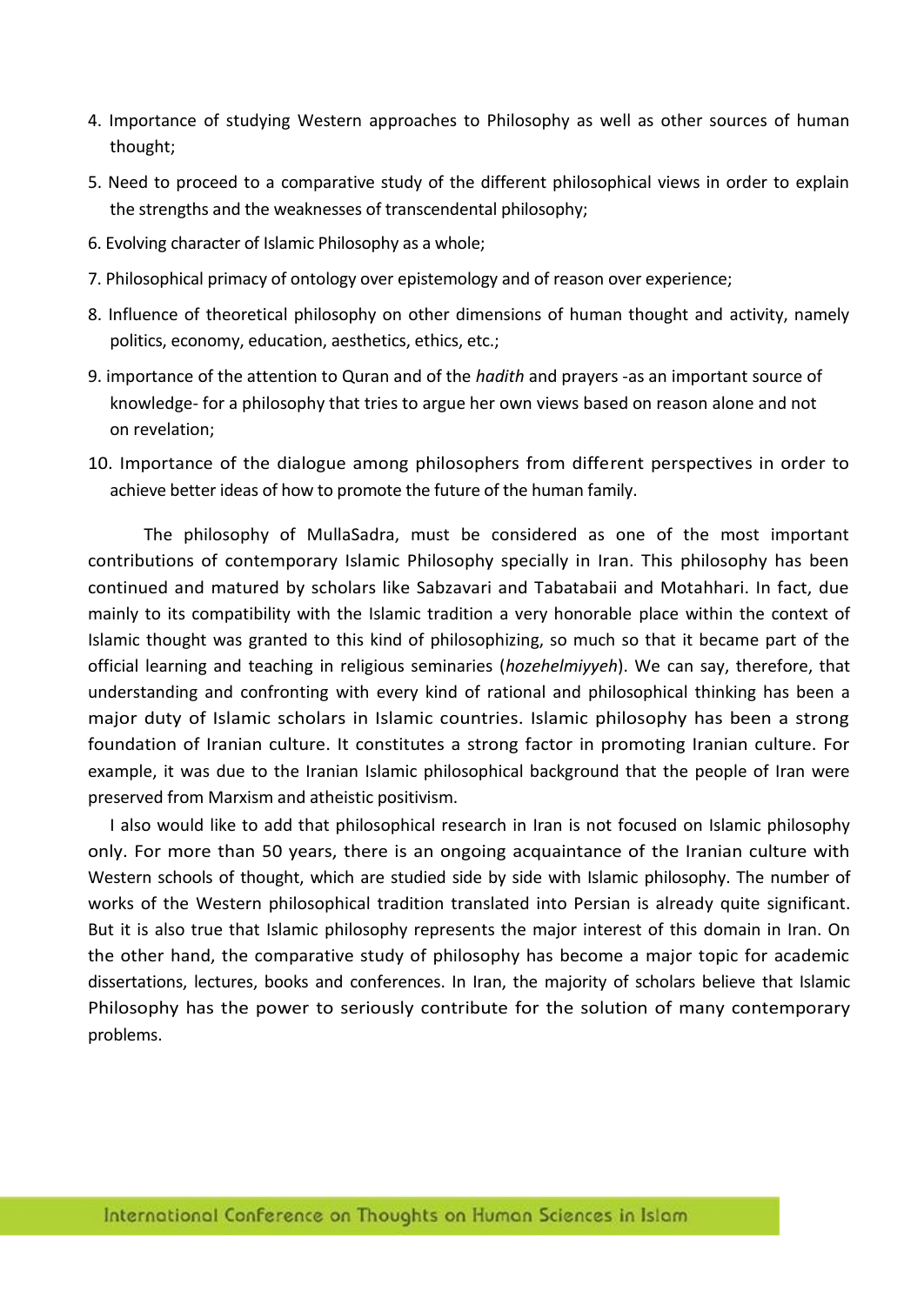- 4. Importance of studying Western approaches to Philosophy as well as other sources of human thought;
- 5. Need to proceed to a comparative study of the different philosophical views in order to explain the strengths and the weaknesses of transcendental philosophy;
- 6. Evolving character of Islamic Philosophy as a whole;
- 7. Philosophical primacy of ontology over epistemology and of reason over experience;
- 8. Influence of theoretical philosophy on other dimensions of human thought and activity, namely politics, economy, education, aesthetics, ethics, etc.;
- 9. importance of the attention to Quran and of the *hadith* and prayers -as an important source of knowledge- for a philosophy that tries to argue her own views based on reason alone and not on revelation;
- 10. Importance of the dialogue among philosophers from different perspectives in order to achieve better ideas of how to promote the future of the human family.

The philosophy of MullaSadra, must be considered as one of the most important contributions of contemporary Islamic Philosophy specially in Iran. This philosophy has been continued and matured by scholars like Sabzavari and Tabatabaii and Motahhari. In fact, due mainly to its compatibility with the Islamic tradition a very honorable place within the context of Islamic thought was granted to this kind of philosophizing, so much so that it became part of the official learning and teaching in religious seminaries (*hozehelmiyyeh*). We can say, therefore, that understanding and confronting with every kind of rational and philosophical thinking has been a major duty of Islamic scholars in Islamic countries. Islamic philosophy has been a strong foundation of Iranian culture. It constitutes a strong factor in promoting Iranian culture. For example, it was due to the Iranian Islamic philosophical background that the people of Iran were preserved from Marxism and atheistic positivism.

I also would like to add that philosophical research in Iran is not focused on Islamic philosophy only. For more than 50 years, there is an ongoing acquaintance of the Iranian culture with Western schools of thought, which are studied side by side with Islamic philosophy. The number of works of the Western philosophical tradition translated into Persian is already quite significant. But it is also true that Islamic philosophy represents the major interest of this domain in Iran. On the other hand, the comparative study of philosophy has become a major topic for academic dissertations, lectures, books and conferences. In Iran, the majority of scholars believe that Islamic Philosophy has the power to seriously contribute for the solution of many contemporary problems.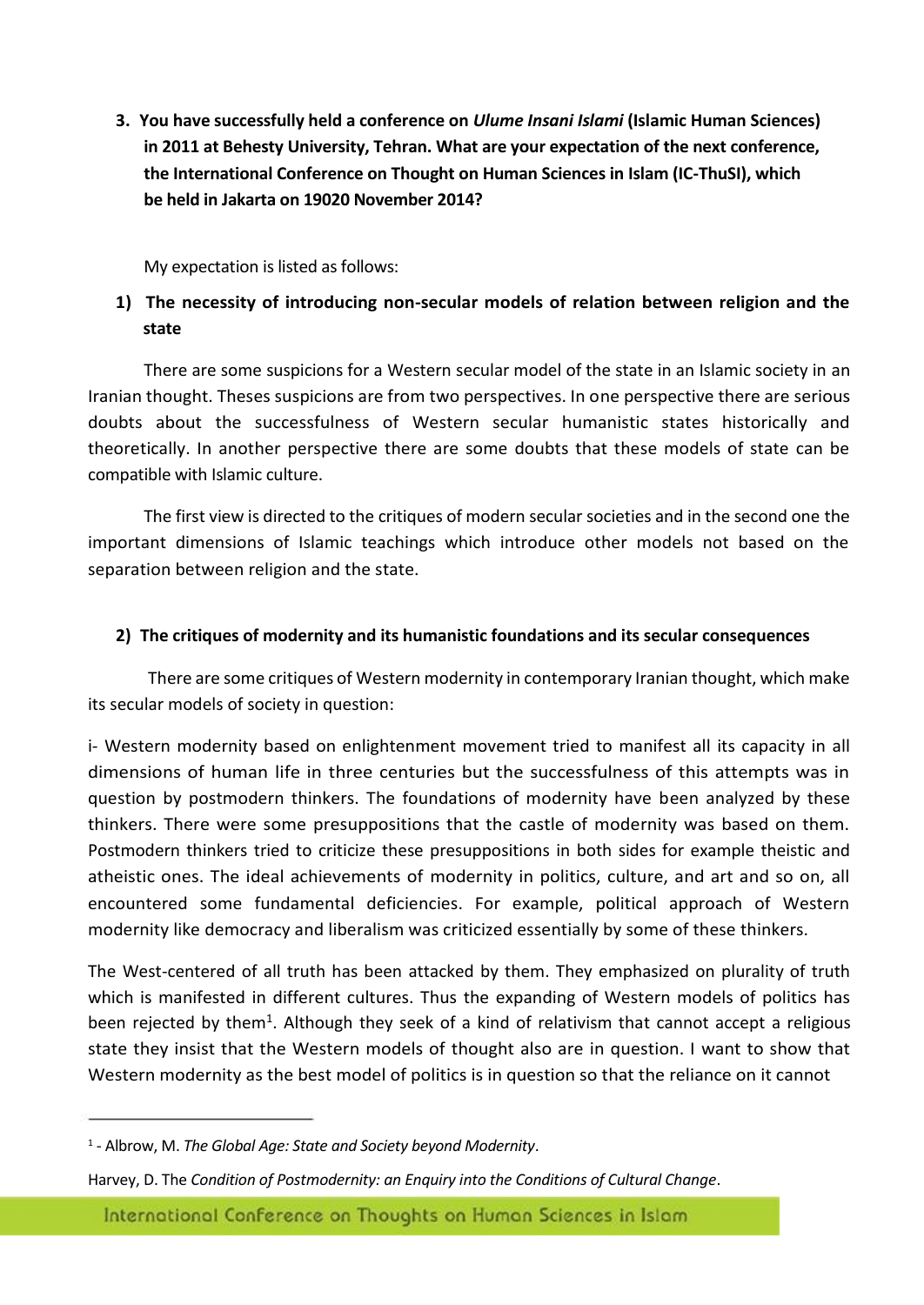**3. You have successfully held a conference on** *Ulume Insani Islami* **(Islamic Human Sciences) in 2011 at Behesty University, Tehran. What are your expectation of the next conference, the International Conference on Thought on Human Sciences in Islam (IC-ThuSI), which be held in Jakarta on 19020 November 2014?** 

My expectation is listed as follows:

## **1) The necessity of introducing non-secular models of relation between religion and the state**

There are some suspicions for a Western secular model of the state in an Islamic society in an Iranian thought. Theses suspicions are from two perspectives. In one perspective there are serious doubts about the successfulness of Western secular humanistic states historically and theoretically. In another perspective there are some doubts that these models of state can be compatible with Islamic culture.

The first view is directed to the critiques of modern secular societies and in the second one the important dimensions of Islamic teachings which introduce other models not based on the separation between religion and the state.

#### **2) The critiques of modernity and its humanistic foundations and its secular consequences**

There are some critiques of Western modernity in contemporary Iranian thought, which make its secular models of society in question:

i- Western modernity based on enlightenment movement tried to manifest all its capacity in all dimensions of human life in three centuries but the successfulness of this attempts was in question by postmodern thinkers. The foundations of modernity have been analyzed by these thinkers. There were some presuppositions that the castle of modernity was based on them. Postmodern thinkers tried to criticize these presuppositions in both sides for example theistic and atheistic ones. The ideal achievements of modernity in politics, culture, and art and so on, all encountered some fundamental deficiencies. For example, political approach of Western modernity like democracy and liberalism was criticized essentially by some of these thinkers.

The West-centered of all truth has been attacked by them. They emphasized on plurality of truth which is manifested in different cultures. Thus the expanding of Western models of politics has been rejected by them<sup>1</sup>. Although they seek of a kind of relativism that cannot accept a religious state they insist that the Western models of thought also are in question. I want to show that Western modernity as the best model of politics is in question so that the reliance on it cannot

International Conference on Thoughts on Human Sciences in Islam

<sup>1</sup> - Albrow, M. *The Global Age: State and Society beyond Modernity*.

Harvey, D. The *Condition of Postmodernity: an Enquiry into the Conditions of Cultural Change*.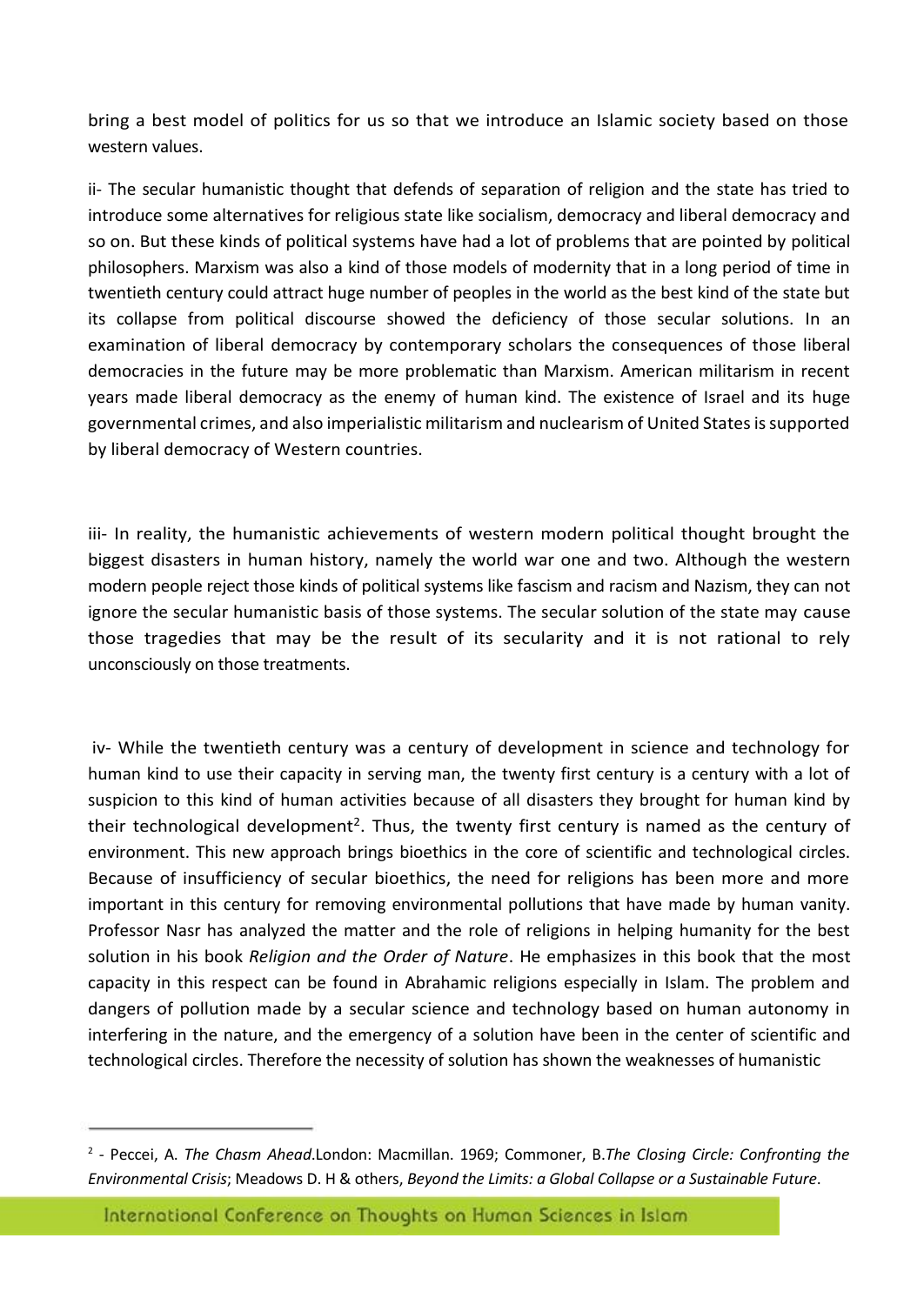bring a best model of politics for us so that we introduce an Islamic society based on those western values.

ii- The secular humanistic thought that defends of separation of religion and the state has tried to introduce some alternatives for religious state like socialism, democracy and liberal democracy and so on. But these kinds of political systems have had a lot of problems that are pointed by political philosophers. Marxism was also a kind of those models of modernity that in a long period of time in twentieth century could attract huge number of peoples in the world as the best kind of the state but its collapse from political discourse showed the deficiency of those secular solutions. In an examination of liberal democracy by contemporary scholars the consequences of those liberal democracies in the future may be more problematic than Marxism. American militarism in recent years made liberal democracy as the enemy of human kind. The existence of Israel and its huge governmental crimes, and also imperialistic militarism and nuclearism of United States is supported by liberal democracy of Western countries.

iii- In reality, the humanistic achievements of western modern political thought brought the biggest disasters in human history, namely the world war one and two. Although the western modern people reject those kinds of political systems like fascism and racism and Nazism, they can not ignore the secular humanistic basis of those systems. The secular solution of the state may cause those tragedies that may be the result of its secularity and it is not rational to rely unconsciously on those treatments.

iv- While the twentieth century was a century of development in science and technology for human kind to use their capacity in serving man, the twenty first century is a century with a lot of suspicion to this kind of human activities because of all disasters they brought for human kind by their technological development<sup>2</sup>. Thus, the twenty first century is named as the century of environment. This new approach brings bioethics in the core of scientific and technological circles. Because of insufficiency of secular bioethics, the need for religions has been more and more important in this century for removing environmental pollutions that have made by human vanity. Professor Nasr has analyzed the matter and the role of religions in helping humanity for the best solution in his book *Religion and the Order of Nature*. He emphasizes in this book that the most capacity in this respect can be found in Abrahamic religions especially in Islam. The problem and dangers of pollution made by a secular science and technology based on human autonomy in interfering in the nature, and the emergency of a solution have been in the center of scientific and technological circles. Therefore the necessity of solution has shown the weaknesses of humanistic

<sup>2</sup> - Peccei, A. *The Chasm Ahead*.London: Macmillan. 1969; Commoner, B.*The Closing Circle: Confronting the Environmental Crisis*; Meadows D. H & others, *Beyond the Limits: a Global Collapse or a Sustainable Future*.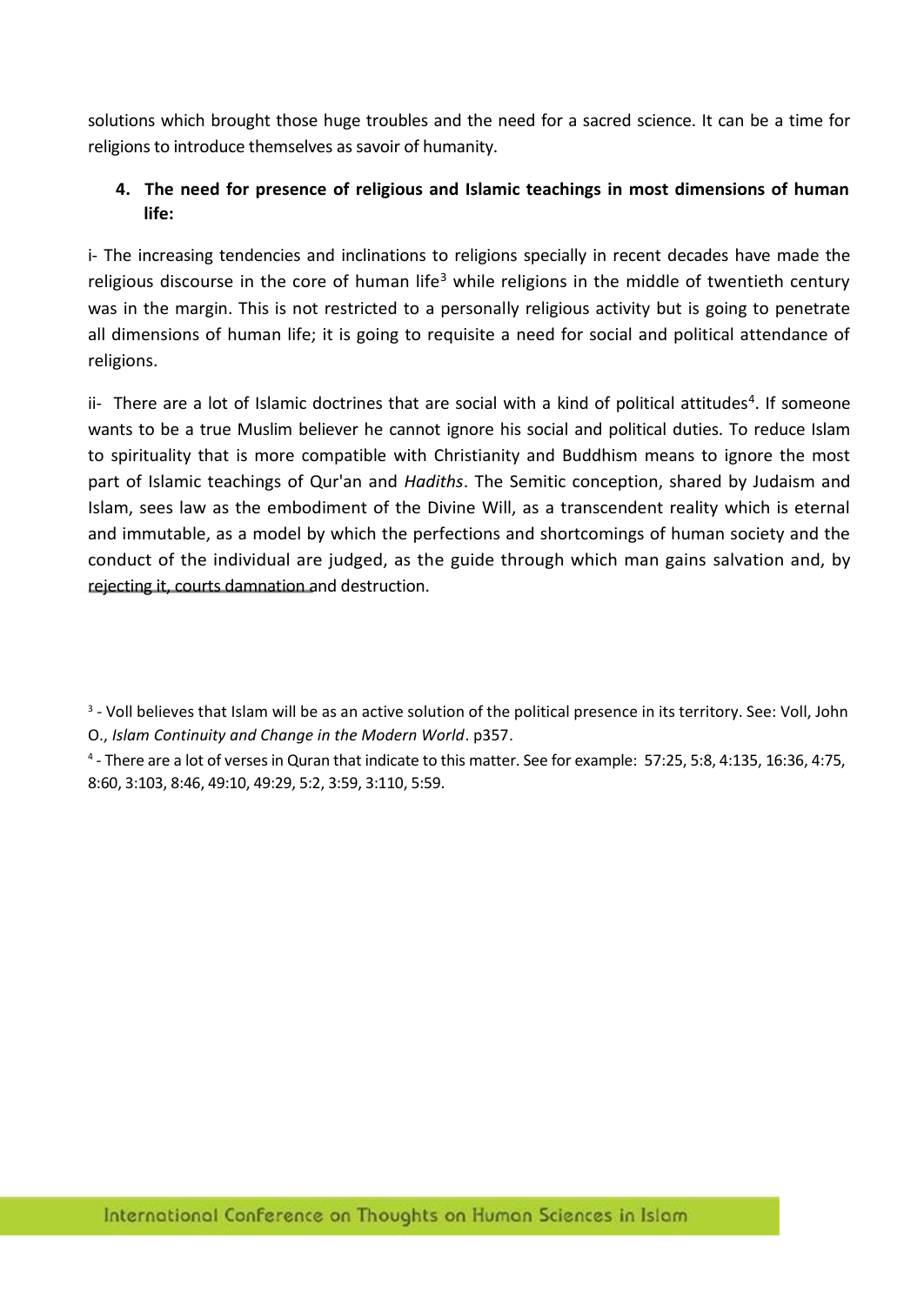solutions which brought those huge troubles and the need for a sacred science. It can be a time for religions to introduce themselves as savoir of humanity.

## **4. The need for presence of religious and Islamic teachings in most dimensions of human life:**

i- The increasing tendencies and inclinations to religions specially in recent decades have made the religious discourse in the core of human life<sup>3</sup> while religions in the middle of twentieth century was in the margin. This is not restricted to a personally religious activity but is going to penetrate all dimensions of human life; it is going to requisite a need for social and political attendance of religions.

ii- There are a lot of Islamic doctrines that are social with a kind of political attitudes<sup>4</sup>. If someone wants to be a true Muslim believer he cannot ignore his social and political duties. To reduce Islam to spirituality that is more compatible with Christianity and Buddhism means to ignore the most part of Islamic teachings of Qur'an and *Hadiths*. The Semitic conception, shared by Judaism and Islam, sees law as the embodiment of the Divine Will, as a transcendent reality which is eternal and immutable, as a model by which the perfections and shortcomings of human society and the conduct of the individual are judged, as the guide through which man gains salvation and, by rejecting it, courts damnation and destruction.

<sup>3</sup> - Voll believes that Islam will be as an active solution of the political presence in its territory. See: Voll, John O., *Islam Continuity and Change in the Modern World*. p357.

4 - There are a lot of verses in Quran that indicate to this matter. See for example: 57:25, 5:8, 4:135, 16:36, 4:75, 8:60, 3:103, 8:46, 49:10, 49:29, 5:2, 3:59, 3:110, 5:59.